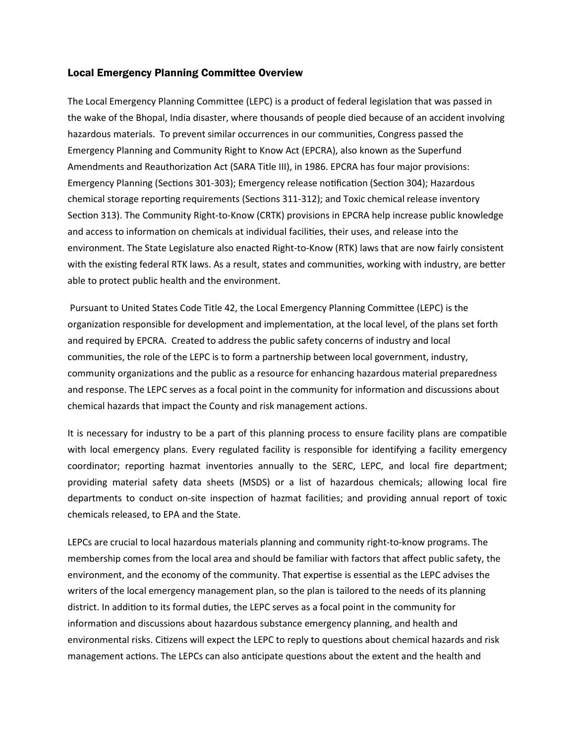#### Local Emergency Planning Committee Overview

The Local Emergency Planning Committee (LEPC) is a product of federal legislation that was passed in the wake of the Bhopal, India disaster, where thousands of people died because of an accident involving hazardous materials. To prevent similar occurrences in our communities, Congress passed the Emergency Planning and Community Right to Know Act (EPCRA), also known as the Superfund Amendments and Reauthorization Act (SARA Title III), in 1986. EPCRA has four major provisions: Emergency Planning (Sections 301-303); Emergency release notification (Section 304); Hazardous chemical storage reporting requirements (Sections 311-312); and Toxic chemical release inventory Section 313). The Community Right-to-Know (CRTK) provisions in EPCRA help increase public knowledge and access to information on chemicals at individual facilities, their uses, and release into the environment. The State Legislature also enacted Right-to-Know (RTK) laws that are now fairly consistent with the existing federal RTK laws. As a result, states and communities, working with industry, are better able to protect public health and the environment.

Pursuant to United States Code Title 42, the Local Emergency Planning Committee (LEPC) is the organization responsible for development and implementation, at the local level, of the plans set forth and required by EPCRA. Created to address the public safety concerns of industry and local communities, the role of the LEPC is to form a partnership between local government, industry, community organizations and the public as a resource for enhancing hazardous material preparedness and response. The LEPC serves as a focal point in the community for information and discussions about chemical hazards that impact the County and risk management actions.

It is necessary for industry to be a part of this planning process to ensure facility plans are compatible with local emergency plans. Every regulated facility is responsible for identifying a facility emergency coordinator; reporting hazmat inventories annually to the SERC, LEPC, and local fire department; providing material safety data sheets (MSDS) or a list of hazardous chemicals; allowing local fire departments to conduct on-site inspection of hazmat facilities; and providing annual report of toxic chemicals released, to EPA and the State.

LEPCs are crucial to local hazardous materials planning and community right-to-know programs. The membership comes from the local area and should be familiar with factors that affect public safety, the environment, and the economy of the community. That expertise is essential as the LEPC advises the writers of the local emergency management plan, so the plan is tailored to the needs of its planning district. In addition to its formal duties, the LEPC serves as a focal point in the community for information and discussions about hazardous substance emergency planning, and health and environmental risks. Citizens will expect the LEPC to reply to questions about chemical hazards and risk management actions. The LEPCs can also anticipate questions about the extent and the health and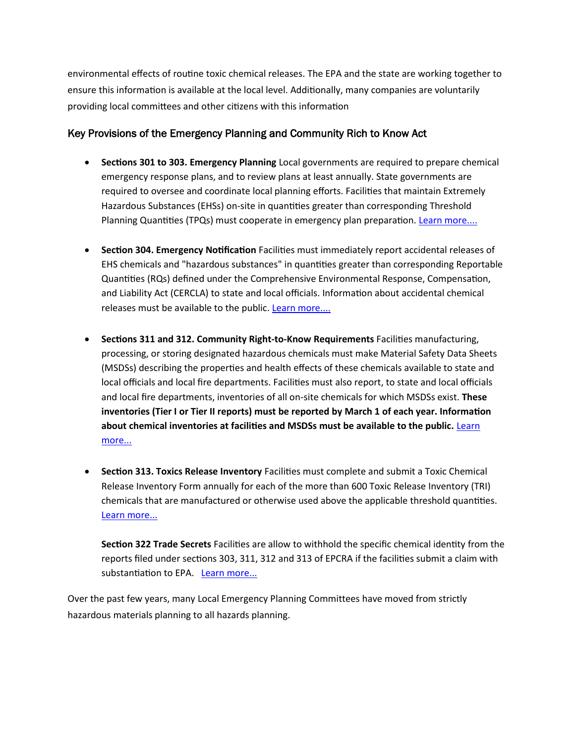environmental effects of routine toxic chemical releases. The EPA and the state are working together to ensure this information is available at the local level. Additionally, many companies are voluntarily providing local committees and other citizens with this information

# Key Provisions of the Emergency Planning and Community Rich to Know Act

- **Sections 301 to 303. Emergency Planning** Local governments are required to prepare chemical emergency response plans, and to review plans at least annually. State governments are required to oversee and coordinate local planning efforts. Facilities that maintain Extremely Hazardous Substances (EHSs) on-site in quantities greater than corresponding Threshold Planning Quantities (TPQs) must cooperate in emergency plan preparation. [Learn more....](http://www.epa.gov/osweroe1/content/epcra/epcra_plan.htm)
- **Section 304. Emergency Notification** Facilities must immediately report accidental releases of EHS chemicals and "hazardous substances" in quantities greater than corresponding Reportable Quantities (RQs) defined under the Comprehensive Environmental Response, Compensation, and Liability Act (CERCLA) to state and local officials. Information about accidental chemical releases must be available to the public. Learn more....
- **Sections 311 and 312. Community Right-to-Know Requirements** Facilities manufacturing, processing, or storing designated hazardous chemicals must make Material Safety Data Sheets (MSDSs) describing the properties and health effects of these chemicals available to state and local officials and local fire departments. Facilities must also report, to state and local officials and local fire departments, inventories of all on-site chemicals for which MSDSs exist. **These inventories (Tier I or Tier II reports) must be reported by March 1 of each year. Information about chemical inventories at facilities and MSDSs must be available to the public.** [Learn](http://www.epa.gov/osweroe1/content/epcra/epcra_storage.htm)  [more...](http://www.epa.gov/osweroe1/content/epcra/epcra_storage.htm)
- **Section 313. Toxics Release Inventory** Facilities must complete and submit a Toxic Chemical Release Inventory Form annually for each of the more than 600 Toxic Release Inventory (TRI) chemicals that are manufactured or otherwise used above the applicable threshold quantities. [Learn more...](http://www.epa.gov/tri/)

**Section 322 Trade Secrets** Facilities are allow to withhold the specific chemical identity from the reports filed under sections 303, 311, 312 and 313 of EPCRA if the facilities submit a claim with substantiation to EPA. Learn more...

Over the past few years, many Local Emergency Planning Committees have moved from strictly hazardous materials planning to all hazards planning.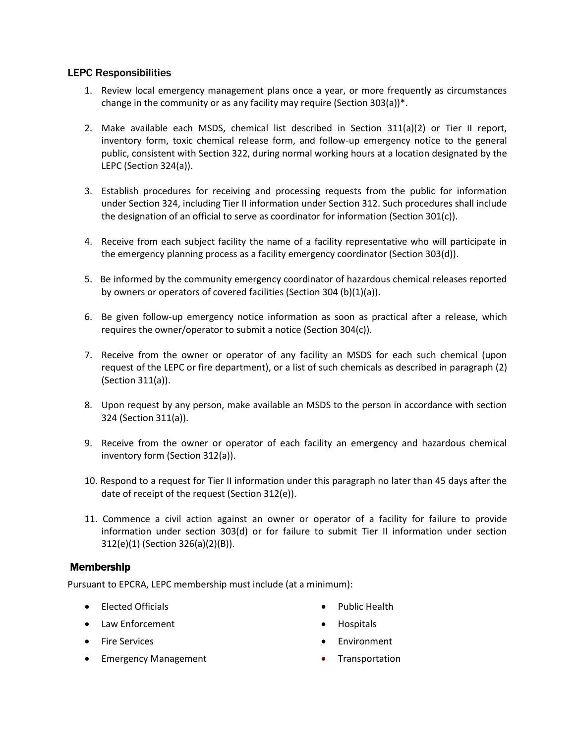# LEPC Responsibilities

- 1. Review local emergency management plans once a year, or more frequently as circumstances change in the community or as any facility may require (Section 303(a))\*.
- 2. Make available each MSDS, chemical list described in Section 311(a)(2) or Tier II report, inventory form, toxic chemical release form, and follow-up emergency notice to the general public, consistent with Section 322, during normal working hours at a location designated by the LEPC (Section 324(a)).
- 3. Establish procedures for receiving and processing requests from the public for information under Section 324, including Tier II information under Section 312. Such procedures shall include the designation of an official to serve as coordinator for information (Section 301(c)).
- 4. Receive from each subject facility the name of a facility representative who will participate in the emergency planning process as a facility emergency coordinator (Section 303(d)).
- 5. Be informed by the community emergency coordinator of hazardous chemical releases reported by owners or operators of covered facilities (Section 304 (b)(1)(a)).
- 6. Be given follow-up emergency notice information as soon as practical after a release, which requires the owner/operator to submit a notice (Section 304(c)).
- 7. Receive from the owner or operator of any facility an MSDS for each such chemical (upon request of the LEPC or fire department), or a list of such chemicals as described in paragraph (2) (Section 311(a)).
- 8. Upon request by any person, make available an MSDS to the person in accordance with section 324 (Section 311(a)).
- 9. Receive from the owner or operator of each facility an emergency and hazardous chemical inventory form (Section 312(a)).
- 10. Respond to a request for Tier II information under this paragraph no later than 45 days after the date of receipt of the request (Section 312(e)).
- 11. Commence a civil action against an owner or operator of a facility for failure to provide information under section 303(d) or for failure to submit Tier II information under section 312(e)(1) (Section 326(a)(2)(B)).

# Membership

Pursuant to EPCRA, LEPC membership must include (at a minimum):

- Elected Officials
- Law Enforcement
- **•** Fire Services
- Emergency Management
- Public Health
- Hospitals
- Environment
- Transportation